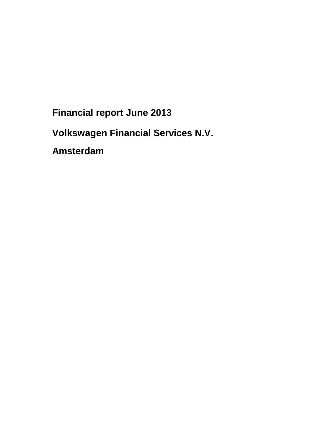**Financial report June 2013** 

**Volkswagen Financial Services N.V.** 

**Amsterdam**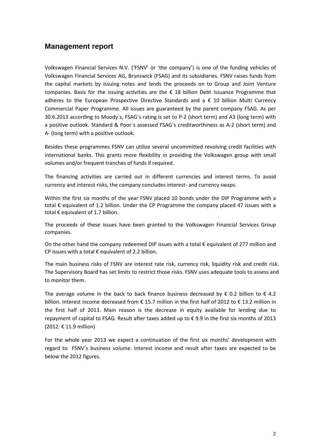# **Management report**

Volkswagen Financial Services N.V. ('FSNV' or 'the company') is one of the funding vehicles of Volkswagen Financial Services AG, Brunswick (FSAG) and its subsidiaries. FSNV raises funds from the capital markets by issuing notes and lends the proceeds on to Group and Joint Venture companies. Basis for the issuing activities are the  $\epsilon$  18 billion Debt Issuance Programme that adheres to the European Prospective Directive Standards and a € 10 billion Multi Currency Commercial Paper Programme. All issues are guaranteed by the parent company FSAG. As per 30.6.2013 according to Moody`s, FSAG`s rating is set to P-2 (short term) and A3 (long term) with a positive outlook. Standard & Poor`s assessed FSAG`s creditworthiness as A-2 (short term) and A- (long term) with a positive outlook.

Besides these programmes FSNV can utilize several uncommitted revolving credit facilities with international banks. This grants more flexibility in providing the Volkswagen group with small volumes and/or frequent tranches of funds if required.

The financing activities are carried out in different currencies and interest terms. To avoid currency and interest risks, the company concludes interest- and currency swaps.

Within the first six months of the year FSNV placed 10 bonds under the DIP Programme with a total € equivalent of 1.2 billion. Under the CP Programme the company placed 47 issues with a total  $\epsilon$  equivalent of 1.7 billion.

The proceeds of these issues have been granted to the Volkswagen Financial Services Group companies.

On the other hand the company redeemed DIP issues with a total  $\epsilon$  equivalent of 277 million and CP issues with a total  $\epsilon$  equivalent of 2.2 billion.

The main business risks of FSNV are interest rate risk, currency risk, liquidity risk and credit risk. The Supervisory Board has set limits to restrict those risks. FSNV uses adequate tools to assess and to monitor them.

The average volume in the back to back finance business decreased by  $\epsilon$  0.2 billion to  $\epsilon$  4.2 billion. Interest income decreased from € 15.7 million in the first half of 2012 to € 13.2 million in the first half of 2013. Main reason is the decrease in equity available for lending due to repayment of capital to FSAG. Result after taxes added up to € 9.9 in the first six months of 2013 (2012: € 11.9 million)

For the whole year 2013 we expect a continuation of the first six months' development with regard to FSNV´s business volume. Interest income and result after taxes are expected to be below the 2012 figures.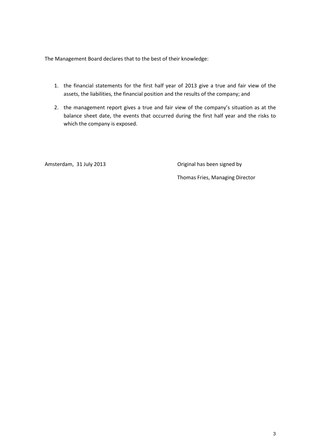The Management Board declares that to the best of their knowledge:

- 1. the financial statements for the first half year of 2013 give a true and fair view of the assets, the liabilities, the financial position and the results of the company; and
- 2. the management report gives a true and fair view of the company's situation as at the balance sheet date, the events that occurred during the first half year and the risks to which the company is exposed.

Amsterdam, 31 July 2013 **Communist Communist Communist Communist Communist Communist Communist Communist Communist Communist Communist Communist Communist Communist Communist Communist Communist Communist Communist Communi** 

Thomas Fries, Managing Director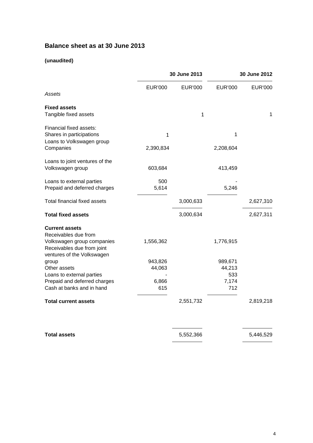# **Balance sheet as at 30 June 2013**

### **(unaudited)**

| 30 June 2013      |                | 30 June 2012      |                |
|-------------------|----------------|-------------------|----------------|
| <b>EUR'000</b>    | <b>EUR'000</b> | <b>EUR'000</b>    | <b>EUR'000</b> |
|                   | 1              |                   | 1              |
| $\mathbf{1}$      |                | 1                 |                |
| 2,390,834         |                | 2,208,604         |                |
| 603,684           |                | 413,459           |                |
| 500<br>5,614      |                | 5,246             |                |
|                   | 3,000,633      |                   | 2,627,310      |
|                   | 3,000,634      |                   | 2,627,311      |
| 1,556,362         |                | 1,776,915         |                |
| 943,826<br>44,063 |                | 989,671<br>44,213 |                |
| 6,866<br>615      |                | 7,174<br>712      |                |
|                   | 2,551,732      |                   | 2,819,218      |
|                   |                |                   | 5,446,529      |
|                   |                | 5,552,366         | 533            |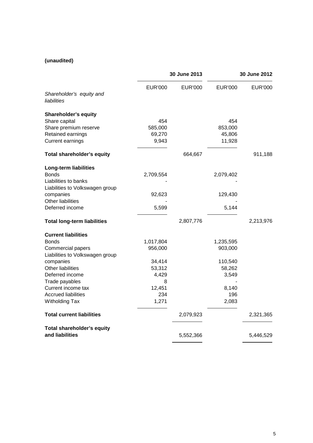### **(unaudited)**

|                                    |                | 30 June 2013   |                | 30 June 2012   |  |
|------------------------------------|----------------|----------------|----------------|----------------|--|
| Shareholder's equity and           | <b>EUR'000</b> | <b>EUR'000</b> | <b>EUR'000</b> | <b>EUR'000</b> |  |
| liabilities                        |                |                |                |                |  |
| Shareholder's equity               |                |                |                |                |  |
| Share capital                      | 454            |                | 454            |                |  |
| Share premium reserve              | 585,000        |                | 853,000        |                |  |
| Retained earnings                  | 69,270         |                | 45,806         |                |  |
| <b>Current earnings</b>            | 9,943          |                | 11,928         |                |  |
| Total shareholder's equity         |                | 664,667        |                | 911,188        |  |
| <b>Long-term liabilities</b>       |                |                |                |                |  |
| <b>Bonds</b>                       | 2,709,554      |                | 2,079,402      |                |  |
| Liabilities to banks               |                |                |                |                |  |
| Liabilities to Volkswagen group    |                |                |                |                |  |
| companies                          | 92,623         |                | 129,430        |                |  |
| Other liabilities                  |                |                |                |                |  |
| Deferred income                    | 5,599          |                | 5,144          |                |  |
| <b>Total long-term liabilities</b> |                | 2,807,776      |                | 2,213,976      |  |
| <b>Current liabilities</b>         |                |                |                |                |  |
| <b>Bonds</b>                       | 1,017,804      |                | 1,235,595      |                |  |
| Commercial papers                  | 956,000        |                | 903,000        |                |  |
| Liabilities to Volkswagen group    |                |                |                |                |  |
| companies                          | 34,414         |                | 110,540        |                |  |
| Other liabilities                  | 53,312         |                | 58,262         |                |  |
| Deferred income                    | 4,429          |                | 3,549          |                |  |
| Trade payables                     | 8              |                |                |                |  |
| Current income tax                 | 12,451         |                | 8,140          |                |  |
| <b>Accrued liabilities</b>         | 234            |                | 196            |                |  |
| <b>Witholding Tax</b>              | 1,271          |                | 2,083          |                |  |
| <b>Total current liabilities</b>   |                | 2,079,923      |                | 2,321,365      |  |
| <b>Total shareholder's equity</b>  |                |                |                |                |  |
| and liabilities                    |                | 5,552,366      |                | 5,446,529      |  |